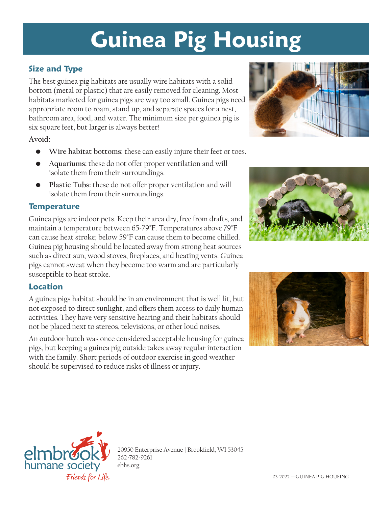# **Guinea Pig Housing**

## **Size and Type**

The best guinea pig habitats are usually wire habitats with a solid bottom (metal or plastic) that are easily removed for cleaning. Most habitats marketed for guinea pigs are way too small. Guinea pigs need appropriate room to roam, stand up, and separate spaces for a nest, bathroom area, food, and water. The minimum size per guinea pig is six square feet, but larger is always better!

**Avoid:**

- **• Wire habitat bottoms:** these can easily injure their feet or toes.
- **• Aquariums:** these do not offer proper ventilation and will isolate them from their surroundings.
- **• Plastic Tubs:** these do not offer proper ventilation and will isolate them from their surroundings.

#### **Temperature**

Guinea pigs are indoor pets. Keep their area dry, free from drafts, and maintain a temperature between 65-79°F. Temperatures above 79°F can cause heat stroke; below 59°F can cause them to become chilled. Guinea pig housing should be located away from strong heat sources such as direct sun, wood stoves, fireplaces, and heating vents. Guinea pigs cannot sweat when they become too warm and are particularly susceptible to heat stroke.

#### **Location**

A guinea pigs habitat should be in an environment that is well lit, but not exposed to direct sunlight, and offers them access to daily human activities. They have very sensitive hearing and their habitats should not be placed next to stereos, televisions, or other loud noises.

An outdoor hutch was once considered acceptable housing for guinea pigs, but keeping a guinea pig outside takes away regular interaction with the family. Short periods of outdoor exercise in good weather should be supervised to reduce risks of illness or injury.









20950 Enterprise Avenue | Brookfield, WI 53045 262-782-9261 ebhs.org